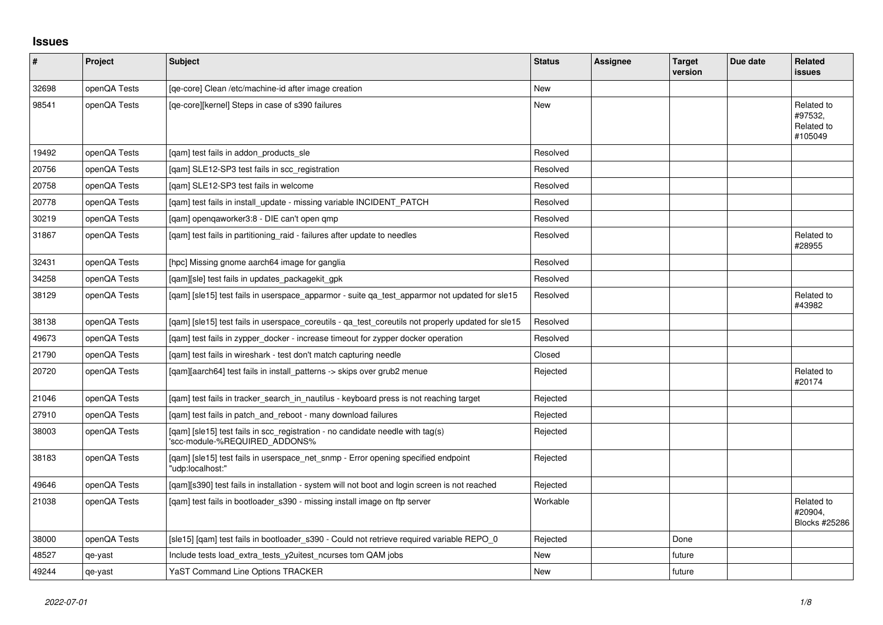## **Issues**

| #     | Project      | <b>Subject</b>                                                                                                  | <b>Status</b> | <b>Assignee</b> | <b>Target</b><br>version | Due date | <b>Related</b><br>issues                       |
|-------|--------------|-----------------------------------------------------------------------------------------------------------------|---------------|-----------------|--------------------------|----------|------------------------------------------------|
| 32698 | openQA Tests | [ge-core] Clean /etc/machine-id after image creation                                                            | <b>New</b>    |                 |                          |          |                                                |
| 98541 | openQA Tests | [ge-core][kernel] Steps in case of s390 failures                                                                | New           |                 |                          |          | Related to<br>#97532,<br>Related to<br>#105049 |
| 19492 | openQA Tests | [gam] test fails in addon products sle                                                                          | Resolved      |                 |                          |          |                                                |
| 20756 | openQA Tests | [qam] SLE12-SP3 test fails in scc_registration                                                                  | Resolved      |                 |                          |          |                                                |
| 20758 | openQA Tests | [gam] SLE12-SP3 test fails in welcome                                                                           | Resolved      |                 |                          |          |                                                |
| 20778 | openQA Tests | [gam] test fails in install update - missing variable INCIDENT PATCH                                            | Resolved      |                 |                          |          |                                                |
| 30219 | openQA Tests | [qam] openqaworker3:8 - DIE can't open qmp                                                                      | Resolved      |                 |                          |          |                                                |
| 31867 | openQA Tests | [gam] test fails in partitioning raid - failures after update to needles                                        | Resolved      |                 |                          |          | Related to<br>#28955                           |
| 32431 | openQA Tests | [hpc] Missing gnome aarch64 image for ganglia                                                                   | Resolved      |                 |                          |          |                                                |
| 34258 | openQA Tests | [qam][sle] test fails in updates_packagekit_gpk                                                                 | Resolved      |                 |                          |          |                                                |
| 38129 | openQA Tests | [qam] [sle15] test fails in userspace_apparmor - suite qa_test_apparmor not updated for sle15                   | Resolved      |                 |                          |          | Related to<br>#43982                           |
| 38138 | openQA Tests | [gam] [sle15] test fails in userspace coreutils - ga test coreutils not properly updated for sle15              | Resolved      |                 |                          |          |                                                |
| 49673 | openQA Tests | [gam] test fails in zypper docker - increase timeout for zypper docker operation                                | Resolved      |                 |                          |          |                                                |
| 21790 | openQA Tests | [gam] test fails in wireshark - test don't match capturing needle                                               | Closed        |                 |                          |          |                                                |
| 20720 | openQA Tests | [gam][aarch64] test fails in install patterns -> skips over grub2 menue                                         | Rejected      |                 |                          |          | Related to<br>#20174                           |
| 21046 | openQA Tests | [gam] test fails in tracker search in nautilus - keyboard press is not reaching target                          | Rejected      |                 |                          |          |                                                |
| 27910 | openQA Tests | [gam] test fails in patch and reboot - many download failures                                                   | Rejected      |                 |                          |          |                                                |
| 38003 | openQA Tests | [qam] [sle15] test fails in scc_registration - no candidate needle with tag(s)<br>'scc-module-%REQUIRED_ADDONS% | Rejected      |                 |                          |          |                                                |
| 38183 | openQA Tests | [qam] [sle15] test fails in userspace_net_snmp - Error opening specified endpoint<br>'udp:localhost:"           | Rejected      |                 |                          |          |                                                |
| 49646 | openQA Tests | [qam][s390] test fails in installation - system will not boot and login screen is not reached                   | Rejected      |                 |                          |          |                                                |
| 21038 | openQA Tests | [qam] test fails in bootloader_s390 - missing install image on ftp server                                       | Workable      |                 |                          |          | Related to<br>#20904.<br>Blocks #25286         |
| 38000 | openQA Tests | [sle15] [qam] test fails in bootloader_s390 - Could not retrieve required variable REPO_0                       | Rejected      |                 | Done                     |          |                                                |
| 48527 | qe-yast      | Include tests load_extra_tests_y2uitest_ncurses tom QAM jobs                                                    | <b>New</b>    |                 | future                   |          |                                                |
| 49244 | qe-yast      | <b>YaST Command Line Options TRACKER</b>                                                                        | New           |                 | future                   |          |                                                |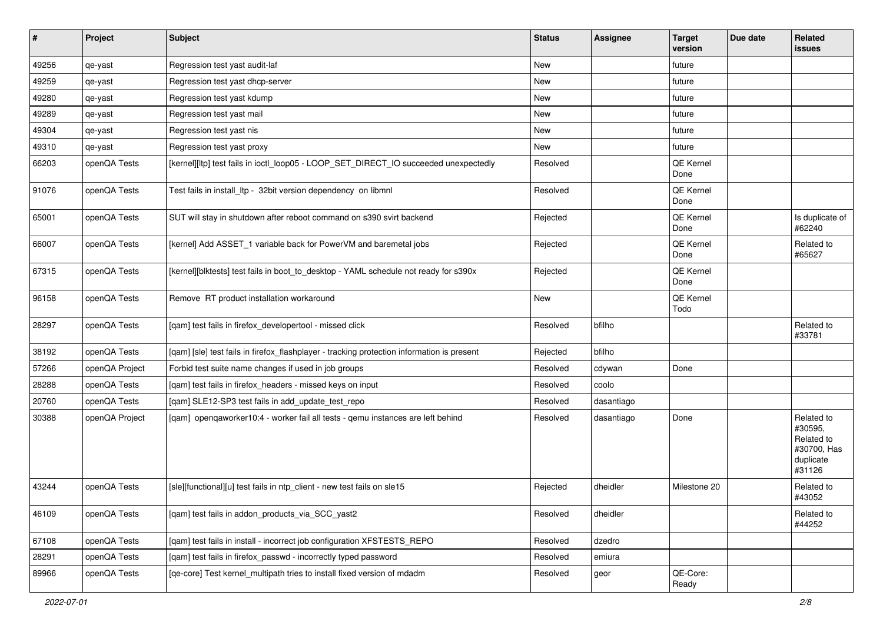| $\sharp$ | Project        | <b>Subject</b>                                                                             | <b>Status</b> | Assignee   | <b>Target</b><br>version | Due date | Related<br>issues                                                         |
|----------|----------------|--------------------------------------------------------------------------------------------|---------------|------------|--------------------------|----------|---------------------------------------------------------------------------|
| 49256    | qe-yast        | Regression test yast audit-laf                                                             | New           |            | future                   |          |                                                                           |
| 49259    | qe-yast        | Regression test yast dhcp-server                                                           | New           |            | future                   |          |                                                                           |
| 49280    | qe-yast        | Regression test yast kdump                                                                 | New           |            | future                   |          |                                                                           |
| 49289    | qe-yast        | Regression test yast mail                                                                  | New           |            | future                   |          |                                                                           |
| 49304    | qe-yast        | Regression test yast nis                                                                   | New           |            | future                   |          |                                                                           |
| 49310    | qe-yast        | Regression test yast proxy                                                                 | New           |            | future                   |          |                                                                           |
| 66203    | openQA Tests   | [kernel][ltp] test fails in ioctl_loop05 - LOOP_SET_DIRECT_IO succeeded unexpectedly       | Resolved      |            | QE Kernel<br>Done        |          |                                                                           |
| 91076    | openQA Tests   | Test fails in install_ltp - 32bit version dependency on libmnl                             | Resolved      |            | QE Kernel<br>Done        |          |                                                                           |
| 65001    | openQA Tests   | SUT will stay in shutdown after reboot command on s390 svirt backend                       | Rejected      |            | QE Kernel<br>Done        |          | Is duplicate of<br>#62240                                                 |
| 66007    | openQA Tests   | [kernel] Add ASSET 1 variable back for PowerVM and baremetal jobs                          | Rejected      |            | QE Kernel<br>Done        |          | Related to<br>#65627                                                      |
| 67315    | openQA Tests   | [kernel][blktests] test fails in boot_to_desktop - YAML schedule not ready for s390x       | Rejected      |            | QE Kernel<br>Done        |          |                                                                           |
| 96158    | openQA Tests   | Remove RT product installation workaround                                                  | New           |            | QE Kernel<br>Todo        |          |                                                                           |
| 28297    | openQA Tests   | [qam] test fails in firefox_developertool - missed click                                   | Resolved      | bfilho     |                          |          | Related to<br>#33781                                                      |
| 38192    | openQA Tests   | [qam] [sle] test fails in firefox_flashplayer - tracking protection information is present | Rejected      | bfilho     |                          |          |                                                                           |
| 57266    | openQA Project | Forbid test suite name changes if used in job groups                                       | Resolved      | cdywan     | Done                     |          |                                                                           |
| 28288    | openQA Tests   | [qam] test fails in firefox_headers - missed keys on input                                 | Resolved      | coolo      |                          |          |                                                                           |
| 20760    | openQA Tests   | [qam] SLE12-SP3 test fails in add_update_test_repo                                         | Resolved      | dasantiago |                          |          |                                                                           |
| 30388    | openQA Project | [qam] openqaworker10:4 - worker fail all tests - qemu instances are left behind            | Resolved      | dasantiago | Done                     |          | Related to<br>#30595.<br>Related to<br>#30700, Has<br>duplicate<br>#31126 |
| 43244    | openQA Tests   | [sle][functional][u] test fails in ntp_client - new test fails on sle15                    | Rejected      | dheidler   | Milestone 20             |          | Related to<br>#43052                                                      |
| 46109    | openQA Tests   | [gam] test fails in addon products via SCC yast2                                           | Resolved      | dheidler   |                          |          | Related to<br>#44252                                                      |
| 67108    | openQA Tests   | [qam] test fails in install - incorrect job configuration XFSTESTS_REPO                    | Resolved      | dzedro     |                          |          |                                                                           |
| 28291    | openQA Tests   | [qam] test fails in firefox_passwd - incorrectly typed password                            | Resolved      | emiura     |                          |          |                                                                           |
| 89966    | openQA Tests   | [qe-core] Test kernel_multipath tries to install fixed version of mdadm                    | Resolved      | geor       | QE-Core:<br>Ready        |          |                                                                           |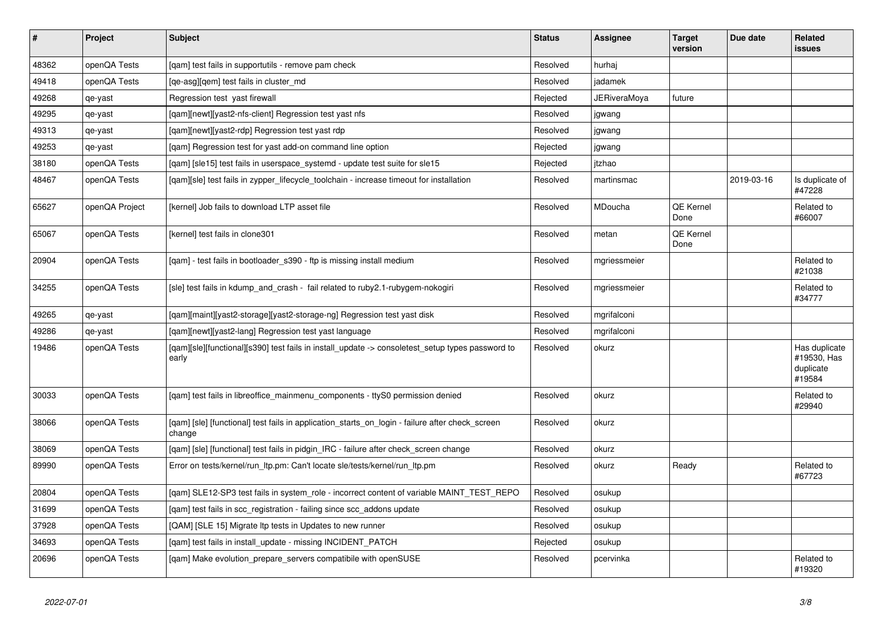| $\vert$ # | Project        | <b>Subject</b>                                                                                            | <b>Status</b> | <b>Assignee</b> | <b>Target</b><br>version | Due date   | <b>Related</b><br><b>issues</b>                     |
|-----------|----------------|-----------------------------------------------------------------------------------------------------------|---------------|-----------------|--------------------------|------------|-----------------------------------------------------|
| 48362     | openQA Tests   | [qam] test fails in supportutils - remove pam check                                                       | Resolved      | hurhaj          |                          |            |                                                     |
| 49418     | openQA Tests   | [qe-asg][qem] test fails in cluster_md                                                                    | Resolved      | jadamek         |                          |            |                                                     |
| 49268     | qe-yast        | Regression test yast firewall                                                                             | Rejected      | JERiveraMoya    | future                   |            |                                                     |
| 49295     | qe-yast        | [qam][newt][yast2-nfs-client] Regression test yast nfs                                                    | Resolved      | jgwang          |                          |            |                                                     |
| 49313     | qe-yast        | [qam][newt][yast2-rdp] Regression test yast rdp                                                           | Resolved      | jgwang          |                          |            |                                                     |
| 49253     | qe-yast        | [qam] Regression test for yast add-on command line option                                                 | Rejected      | jgwang          |                          |            |                                                     |
| 38180     | openQA Tests   | [gam] [sle15] test fails in userspace systemd - update test suite for sle15                               | Rejected      | itzhao          |                          |            |                                                     |
| 48467     | openQA Tests   | [qam][sle] test fails in zypper_lifecycle_toolchain - increase timeout for installation                   | Resolved      | martinsmac      |                          | 2019-03-16 | Is duplicate of<br>#47228                           |
| 65627     | openQA Project | [kernel] Job fails to download LTP asset file                                                             | Resolved      | <b>MDoucha</b>  | QE Kernel<br>Done        |            | Related to<br>#66007                                |
| 65067     | openQA Tests   | [kernel] test fails in clone301                                                                           | Resolved      | metan           | QE Kernel<br>Done        |            |                                                     |
| 20904     | openQA Tests   | [qam] - test fails in bootloader_s390 - ftp is missing install medium                                     | Resolved      | mgriessmeier    |                          |            | Related to<br>#21038                                |
| 34255     | openQA Tests   | [sle] test fails in kdump_and_crash - fail related to ruby2.1-rubygem-nokogiri                            | Resolved      | mgriessmeier    |                          |            | Related to<br>#34777                                |
| 49265     | qe-yast        | [gam][maint][yast2-storage][yast2-storage-ng] Regression test yast disk                                   | Resolved      | mgrifalconi     |                          |            |                                                     |
| 49286     | qe-yast        | [gam][newt][yast2-lang] Regression test yast language                                                     | Resolved      | mgrifalconi     |                          |            |                                                     |
| 19486     | openQA Tests   | [qam][sle][functional][s390] test fails in install_update -> consoletest_setup types password to<br>early | Resolved      | okurz           |                          |            | Has duplicate<br>#19530, Has<br>duplicate<br>#19584 |
| 30033     | openQA Tests   | [qam] test fails in libreoffice_mainmenu_components - ttyS0 permission denied                             | Resolved      | okurz           |                          |            | Related to<br>#29940                                |
| 38066     | openQA Tests   | [gam] [sle] [functional] test fails in application starts on login - failure after check screen<br>change | Resolved      | okurz           |                          |            |                                                     |
| 38069     | openQA Tests   | [gam] [sle] [functional] test fails in pidgin IRC - failure after check screen change                     | Resolved      | okurz           |                          |            |                                                     |
| 89990     | openQA Tests   | Error on tests/kernel/run ltp.pm: Can't locate sle/tests/kernel/run ltp.pm                                | Resolved      | okurz           | Ready                    |            | Related to<br>#67723                                |
| 20804     | openQA Tests   | [gam] SLE12-SP3 test fails in system role - incorrect content of variable MAINT TEST REPO                 | Resolved      | osukup          |                          |            |                                                     |
| 31699     | openQA Tests   | [qam] test fails in scc_registration - failing since scc_addons update                                    | Resolved      | osukup          |                          |            |                                                     |
| 37928     | openQA Tests   | [QAM] [SLE 15] Migrate Itp tests in Updates to new runner                                                 | Resolved      | osukup          |                          |            |                                                     |
| 34693     | openQA Tests   | [qam] test fails in install_update - missing INCIDENT_PATCH                                               | Rejected      | osukup          |                          |            |                                                     |
| 20696     | openQA Tests   | [gam] Make evolution prepare servers compatibile with openSUSE                                            | Resolved      | pcervinka       |                          |            | Related to<br>#19320                                |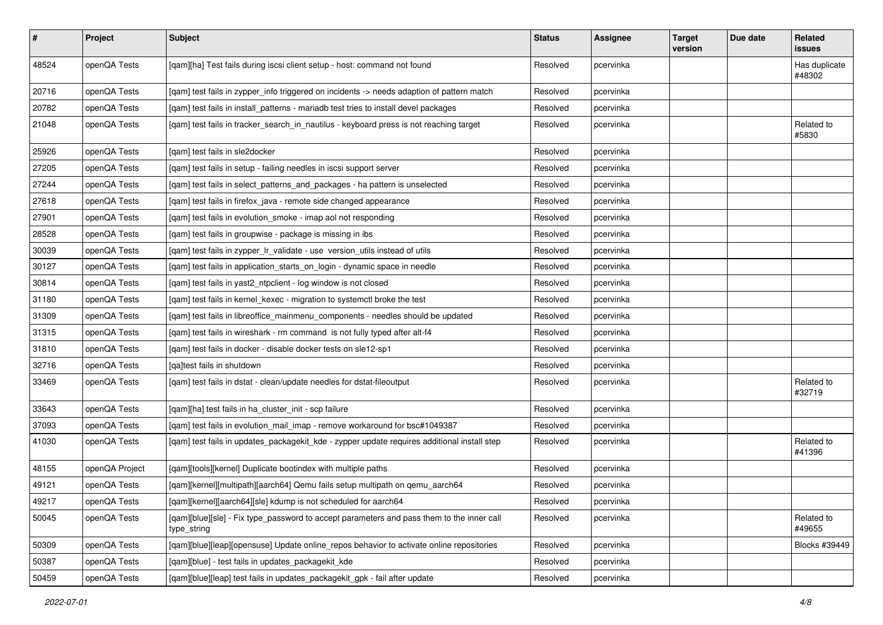| $\vert$ # | Project        | <b>Subject</b>                                                                                           | <b>Status</b> | Assignee  | <b>Target</b><br>version | Due date | <b>Related</b><br>issues |
|-----------|----------------|----------------------------------------------------------------------------------------------------------|---------------|-----------|--------------------------|----------|--------------------------|
| 48524     | openQA Tests   | [qam][ha] Test fails during iscsi client setup - host: command not found                                 | Resolved      | pcervinka |                          |          | Has duplicate<br>#48302  |
| 20716     | openQA Tests   | [qam] test fails in zypper_info triggered on incidents -> needs adaption of pattern match                | Resolved      | pcervinka |                          |          |                          |
| 20782     | openQA Tests   | [qam] test fails in install_patterns - mariadb test tries to install devel packages                      | Resolved      | pcervinka |                          |          |                          |
| 21048     | openQA Tests   | [gam] test fails in tracker search in nautilus - keyboard press is not reaching target                   | Resolved      | pcervinka |                          |          | Related to<br>#5830      |
| 25926     | openQA Tests   | [gam] test fails in sle2docker                                                                           | Resolved      | pcervinka |                          |          |                          |
| 27205     | openQA Tests   | [qam] test fails in setup - failing needles in iscsi support server                                      | Resolved      | pcervinka |                          |          |                          |
| 27244     | openQA Tests   | [qam] test fails in select_patterns_and_packages - ha pattern is unselected                              | Resolved      | pcervinka |                          |          |                          |
| 27618     | openQA Tests   | [qam] test fails in firefox_java - remote side changed appearance                                        | Resolved      | pcervinka |                          |          |                          |
| 27901     | openQA Tests   | [qam] test fails in evolution_smoke - imap aol not responding                                            | Resolved      | pcervinka |                          |          |                          |
| 28528     | openQA Tests   | [qam] test fails in groupwise - package is missing in ibs                                                | Resolved      | pcervinka |                          |          |                          |
| 30039     | openQA Tests   | [qam] test fails in zypper_lr_validate - use version_utils instead of utils                              | Resolved      | pcervinka |                          |          |                          |
| 30127     | openQA Tests   | [qam] test fails in application_starts_on_login - dynamic space in needle                                | Resolved      | pcervinka |                          |          |                          |
| 30814     | openQA Tests   | [qam] test fails in yast2_ntpclient - log window is not closed                                           | Resolved      | pcervinka |                          |          |                          |
| 31180     | openQA Tests   | [qam] test fails in kernel_kexec - migration to systemctl broke the test                                 | Resolved      | pcervinka |                          |          |                          |
| 31309     | openQA Tests   | [qam] test fails in libreoffice_mainmenu_components - needles should be updated                          | Resolved      | pcervinka |                          |          |                          |
| 31315     | openQA Tests   | [gam] test fails in wireshark - rm command is not fully typed after alt-f4                               | Resolved      | pcervinka |                          |          |                          |
| 31810     | openQA Tests   | [gam] test fails in docker - disable docker tests on sle12-sp1                                           | Resolved      | pcervinka |                          |          |                          |
| 32716     | openQA Tests   | [qa]test fails in shutdown                                                                               | Resolved      | pcervinka |                          |          |                          |
| 33469     | openQA Tests   | [qam] test fails in dstat - clean/update needles for dstat-fileoutput                                    | Resolved      | pcervinka |                          |          | Related to<br>#32719     |
| 33643     | openQA Tests   | [qam][ha] test fails in ha_cluster_init - scp failure                                                    | Resolved      | pcervinka |                          |          |                          |
| 37093     | openQA Tests   | [qam] test fails in evolution_mail_imap - remove workaround for bsc#1049387                              | Resolved      | pcervinka |                          |          |                          |
| 41030     | openQA Tests   | [qam] test fails in updates_packagekit_kde - zypper update requires additional install step              | Resolved      | pcervinka |                          |          | Related to<br>#41396     |
| 48155     | openQA Project | [qam][tools][kernel] Duplicate bootindex with multiple paths                                             | Resolved      | pcervinka |                          |          |                          |
| 49121     | openQA Tests   | [qam][kernel][multipath][aarch64] Qemu fails setup multipath on qemu_aarch64                             | Resolved      | pcervinka |                          |          |                          |
| 49217     | openQA Tests   | [qam][kernel][aarch64][sle] kdump is not scheduled for aarch64                                           | Resolved      | pcervinka |                          |          |                          |
| 50045     | openQA Tests   | [qam][blue][sle] - Fix type_password to accept parameters and pass them to the inner call<br>type_string | Resolved      | pcervinka |                          |          | Related to<br>#49655     |
| 50309     | openQA Tests   | [qam][blue][leap][opensuse] Update online_repos behavior to activate online repositories                 | Resolved      | pcervinka |                          |          | Blocks #39449            |
| 50387     | openQA Tests   | [qam][blue] - test fails in updates_packagekit_kde                                                       | Resolved      | pcervinka |                          |          |                          |
| 50459     | openQA Tests   | [qam][blue][leap] test fails in updates_packagekit_gpk - fail after update                               | Resolved      | pcervinka |                          |          |                          |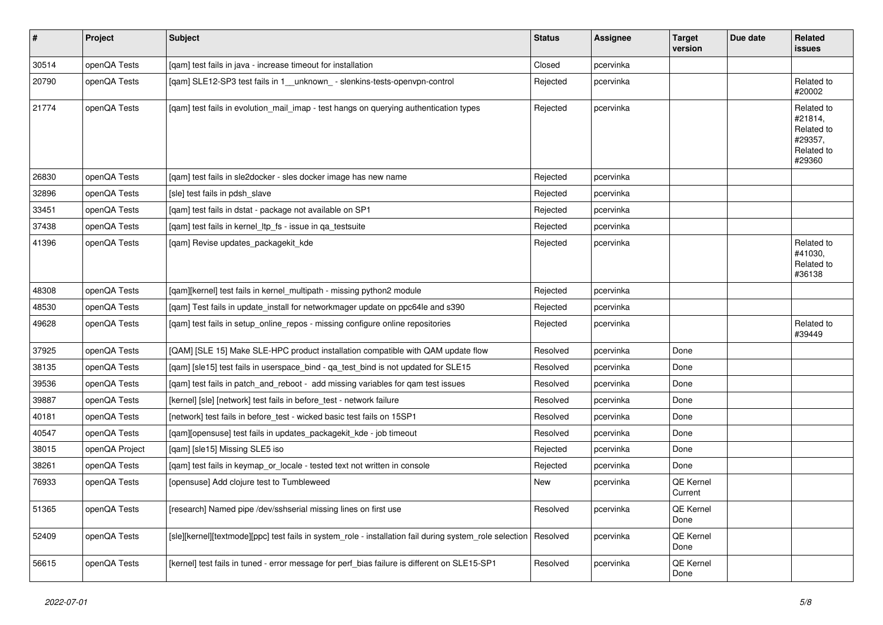| $\vert$ # | Project        | <b>Subject</b>                                                                                                     | <b>Status</b> | <b>Assignee</b> | <b>Target</b><br>version | Due date | <b>Related</b><br><b>issues</b>                                        |
|-----------|----------------|--------------------------------------------------------------------------------------------------------------------|---------------|-----------------|--------------------------|----------|------------------------------------------------------------------------|
| 30514     | openQA Tests   | [qam] test fails in java - increase timeout for installation                                                       | Closed        | pcervinka       |                          |          |                                                                        |
| 20790     | openQA Tests   | [qam] SLE12-SP3 test fails in 1__unknown_ - slenkins-tests-openvpn-control                                         | Rejected      | pcervinka       |                          |          | Related to<br>#20002                                                   |
| 21774     | openQA Tests   | [qam] test fails in evolution_mail_imap - test hangs on querying authentication types                              | Rejected      | pcervinka       |                          |          | Related to<br>#21814,<br>Related to<br>#29357,<br>Related to<br>#29360 |
| 26830     | openQA Tests   | [qam] test fails in sle2docker - sles docker image has new name                                                    | Rejected      | pcervinka       |                          |          |                                                                        |
| 32896     | openQA Tests   | [sle] test fails in pdsh slave                                                                                     | Rejected      | pcervinka       |                          |          |                                                                        |
| 33451     | openQA Tests   | [qam] test fails in dstat - package not available on SP1                                                           | Rejected      | pcervinka       |                          |          |                                                                        |
| 37438     | openQA Tests   | [qam] test fails in kernel_ltp_fs - issue in qa_testsuite                                                          | Rejected      | pcervinka       |                          |          |                                                                        |
| 41396     | openQA Tests   | [gam] Revise updates packagekit kde                                                                                | Rejected      | pcervinka       |                          |          | Related to<br>#41030,<br>Related to<br>#36138                          |
| 48308     | openQA Tests   | [qam][kernel] test fails in kernel_multipath - missing python2 module                                              | Rejected      | pcervinka       |                          |          |                                                                        |
| 48530     | openQA Tests   | [qam] Test fails in update_install for networkmager update on ppc64le and s390                                     | Rejected      | pcervinka       |                          |          |                                                                        |
| 49628     | openQA Tests   | [gam] test fails in setup online repos - missing configure online repositories                                     | Rejected      | pcervinka       |                          |          | Related to<br>#39449                                                   |
| 37925     | openQA Tests   | [QAM] [SLE 15] Make SLE-HPC product installation compatible with QAM update flow                                   | Resolved      | pcervinka       | Done                     |          |                                                                        |
| 38135     | openQA Tests   | [qam] [sle15] test fails in userspace_bind - qa_test_bind is not updated for SLE15                                 | Resolved      | pcervinka       | Done                     |          |                                                                        |
| 39536     | openQA Tests   | [qam] test fails in patch_and_reboot - add missing variables for qam test issues                                   | Resolved      | pcervinka       | Done                     |          |                                                                        |
| 39887     | openQA Tests   | [kernel] [sle] [network] test fails in before test - network failure                                               | Resolved      | pcervinka       | Done                     |          |                                                                        |
| 40181     | openQA Tests   | [network] test fails in before test - wicked basic test fails on 15SP1                                             | Resolved      | pcervinka       | Done                     |          |                                                                        |
| 40547     | openQA Tests   | [qam][opensuse] test fails in updates_packagekit_kde - job timeout                                                 | Resolved      | pcervinka       | Done                     |          |                                                                        |
| 38015     | openQA Project | [gam] [sle15] Missing SLE5 iso                                                                                     | Rejected      | pcervinka       | Done                     |          |                                                                        |
| 38261     | openQA Tests   | [qam] test fails in keymap_or_locale - tested text not written in console                                          | Rejected      | pcervinka       | Done                     |          |                                                                        |
| 76933     | openQA Tests   | [opensuse] Add clojure test to Tumbleweed                                                                          | <b>New</b>    | pcervinka       | QE Kernel<br>Current     |          |                                                                        |
| 51365     | openQA Tests   | [research] Named pipe /dev/sshserial missing lines on first use                                                    | Resolved      | pcervinka       | QE Kernel<br>Done        |          |                                                                        |
| 52409     | openQA Tests   | [sle][kernel][textmode][ppc] test fails in system role - installation fail during system role selection   Resolved |               | pcervinka       | QE Kernel<br>Done        |          |                                                                        |
| 56615     | openQA Tests   | [kernel] test fails in tuned - error message for perf_bias failure is different on SLE15-SP1                       | Resolved      | pcervinka       | QE Kernel<br>Done        |          |                                                                        |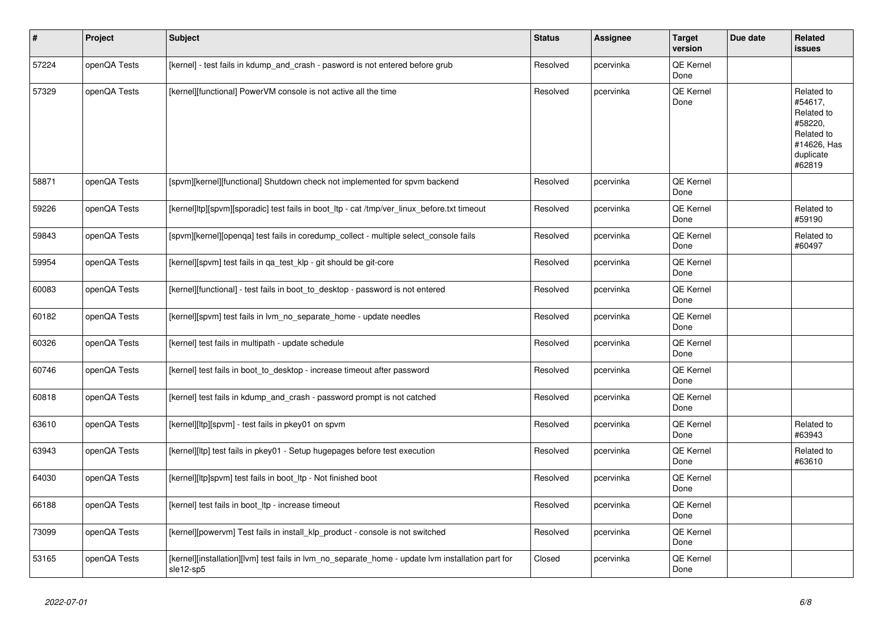| #     | Project      | Subject                                                                                                        | <b>Status</b> | <b>Assignee</b> | <b>Target</b><br>version | Due date | Related<br><b>issues</b>                                                                           |
|-------|--------------|----------------------------------------------------------------------------------------------------------------|---------------|-----------------|--------------------------|----------|----------------------------------------------------------------------------------------------------|
| 57224 | openQA Tests | [kernel] - test fails in kdump and crash - pasword is not entered before grub                                  | Resolved      | pcervinka       | QE Kernel<br>Done        |          |                                                                                                    |
| 57329 | openQA Tests | [kernel][functional] PowerVM console is not active all the time                                                | Resolved      | pcervinka       | QE Kernel<br>Done        |          | Related to<br>#54617,<br>Related to<br>#58220,<br>Related to<br>#14626, Has<br>duplicate<br>#62819 |
| 58871 | openQA Tests | [spvm][kernel][functional] Shutdown check not implemented for spvm backend                                     | Resolved      | pcervinka       | <b>QE Kernel</b><br>Done |          |                                                                                                    |
| 59226 | openQA Tests | [kernel]ltp][spvm][sporadic] test fails in boot_ltp - cat /tmp/ver_linux_before.txt timeout                    | Resolved      | pcervinka       | QE Kernel<br>Done        |          | Related to<br>#59190                                                                               |
| 59843 | openQA Tests | [spvm][kernel][openqa] test fails in coredump_collect - multiple select_console fails                          | Resolved      | pcervinka       | <b>QE Kernel</b><br>Done |          | Related to<br>#60497                                                                               |
| 59954 | openQA Tests | [kernel][spvm] test fails in ga test klp - git should be git-core                                              | Resolved      | pcervinka       | QE Kernel<br>Done        |          |                                                                                                    |
| 60083 | openQA Tests | [kernel][functional] - test fails in boot_to_desktop - password is not entered                                 | Resolved      | pcervinka       | QE Kernel<br>Done        |          |                                                                                                    |
| 60182 | openQA Tests | [kernel][spvm] test fails in lvm no separate home - update needles                                             | Resolved      | pcervinka       | QE Kernel<br>Done        |          |                                                                                                    |
| 60326 | openQA Tests | [kernel] test fails in multipath - update schedule                                                             | Resolved      | pcervinka       | <b>QE Kernel</b><br>Done |          |                                                                                                    |
| 60746 | openQA Tests | [kernel] test fails in boot to desktop - increase timeout after password                                       | Resolved      | pcervinka       | QE Kernel<br>Done        |          |                                                                                                    |
| 60818 | openQA Tests | [kernel] test fails in kdump and crash - password prompt is not catched                                        | Resolved      | pcervinka       | QE Kernel<br>Done        |          |                                                                                                    |
| 63610 | openQA Tests | [kernel][ltp][spvm] - test fails in pkey01 on spvm                                                             | Resolved      | pcervinka       | QE Kernel<br>Done        |          | Related to<br>#63943                                                                               |
| 63943 | openQA Tests | [kernel][ltp] test fails in pkey01 - Setup hugepages before test execution                                     | Resolved      | pcervinka       | <b>QE Kernel</b><br>Done |          | Related to<br>#63610                                                                               |
| 64030 | openQA Tests | [kernel][ltp]spvm] test fails in boot_ltp - Not finished boot                                                  | Resolved      | pcervinka       | QE Kernel<br>Done        |          |                                                                                                    |
| 66188 | openQA Tests | [kernel] test fails in boot_ltp - increase timeout                                                             | Resolved      | pcervinka       | <b>QE Kernel</b><br>Done |          |                                                                                                    |
| 73099 | openQA Tests | [kernel][powervm] Test fails in install klp product - console is not switched                                  | Resolved      | pcervinka       | <b>QE Kernel</b><br>Done |          |                                                                                                    |
| 53165 | openQA Tests | [kernel][installation][lvm] test fails in lvm_no_separate_home - update lvm installation part for<br>sle12-sp5 | Closed        | pcervinka       | QE Kernel<br>Done        |          |                                                                                                    |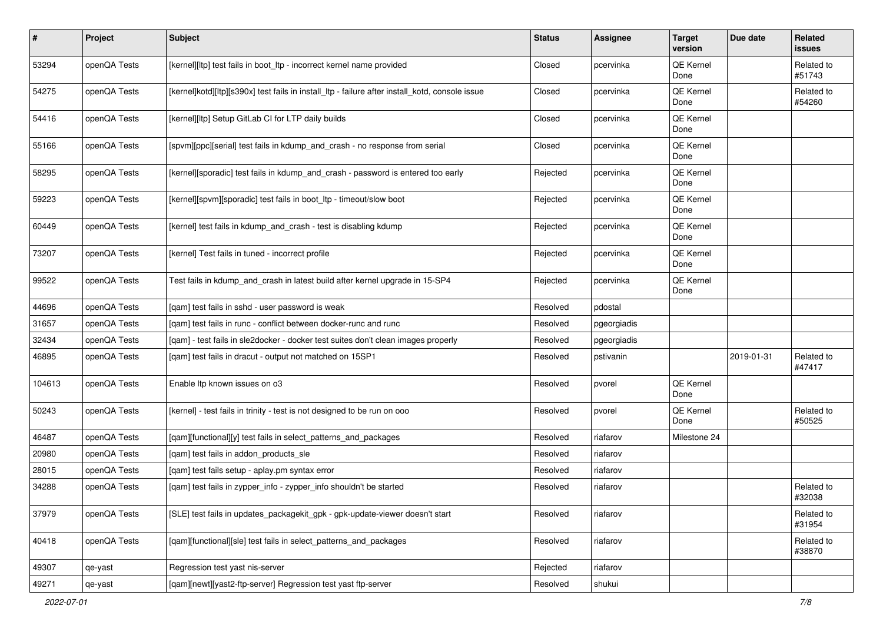| $\vert$ # | Project      | Subject                                                                                         | <b>Status</b> | <b>Assignee</b> | <b>Target</b><br>version | Due date   | Related<br>issues    |
|-----------|--------------|-------------------------------------------------------------------------------------------------|---------------|-----------------|--------------------------|------------|----------------------|
| 53294     | openQA Tests | [kernel][ltp] test fails in boot_ltp - incorrect kernel name provided                           | Closed        | pcervinka       | QE Kernel<br>Done        |            | Related to<br>#51743 |
| 54275     | openQA Tests | [kernel]kotd][ltp][s390x] test fails in install_ltp - failure after install_kotd, console issue | Closed        | pcervinka       | QE Kernel<br>Done        |            | Related to<br>#54260 |
| 54416     | openQA Tests | [kernel][ltp] Setup GitLab CI for LTP daily builds                                              | Closed        | pcervinka       | QE Kernel<br>Done        |            |                      |
| 55166     | openQA Tests | [spvm][ppc][serial] test fails in kdump_and_crash - no response from serial                     | Closed        | pcervinka       | QE Kernel<br>Done        |            |                      |
| 58295     | openQA Tests | [kernel][sporadic] test fails in kdump_and_crash - password is entered too early                | Rejected      | pcervinka       | QE Kernel<br>Done        |            |                      |
| 59223     | openQA Tests | [kernel][spvm][sporadic] test fails in boot_ltp - timeout/slow boot                             | Rejected      | pcervinka       | QE Kernel<br>Done        |            |                      |
| 60449     | openQA Tests | [kernel] test fails in kdump_and_crash - test is disabling kdump                                | Rejected      | pcervinka       | QE Kernel<br>Done        |            |                      |
| 73207     | openQA Tests | [kernel] Test fails in tuned - incorrect profile                                                | Rejected      | pcervinka       | QE Kernel<br>Done        |            |                      |
| 99522     | openQA Tests | Test fails in kdump_and_crash in latest build after kernel upgrade in 15-SP4                    | Rejected      | pcervinka       | QE Kernel<br>Done        |            |                      |
| 44696     | openQA Tests | [qam] test fails in sshd - user password is weak                                                | Resolved      | pdostal         |                          |            |                      |
| 31657     | openQA Tests | [gam] test fails in runc - conflict between docker-runc and runc                                | Resolved      | pgeorgiadis     |                          |            |                      |
| 32434     | openQA Tests | [gam] - test fails in sle2docker - docker test suites don't clean images properly               | Resolved      | pgeorgiadis     |                          |            |                      |
| 46895     | openQA Tests | [qam] test fails in dracut - output not matched on 15SP1                                        | Resolved      | pstivanin       |                          | 2019-01-31 | Related to<br>#47417 |
| 104613    | openQA Tests | Enable Itp known issues on o3                                                                   | Resolved      | pvorel          | QE Kernel<br>Done        |            |                      |
| 50243     | openQA Tests | [kernel] - test fails in trinity - test is not designed to be run on ooo                        | Resolved      | pvorel          | QE Kernel<br>Done        |            | Related to<br>#50525 |
| 46487     | openQA Tests | [qam][functional][y] test fails in select_patterns_and_packages                                 | Resolved      | riafarov        | Milestone 24             |            |                      |
| 20980     | openQA Tests | [gam] test fails in addon products sle                                                          | Resolved      | riafarov        |                          |            |                      |
| 28015     | openQA Tests | [qam] test fails setup - aplay.pm syntax error                                                  | Resolved      | riafarov        |                          |            |                      |
| 34288     | openQA Tests | [qam] test fails in zypper_info - zypper_info shouldn't be started                              | Resolved      | riafarov        |                          |            | Related to<br>#32038 |
| 37979     | openQA Tests | [SLE] test fails in updates_packagekit_gpk - gpk-update-viewer doesn't start                    | Resolved      | riafarov        |                          |            | Related to<br>#31954 |
| 40418     | openQA Tests | [qam][functional][sle] test fails in select_patterns_and_packages                               | Resolved      | riafarov        |                          |            | Related to<br>#38870 |
| 49307     | qe-yast      | Regression test yast nis-server                                                                 | Rejected      | riafarov        |                          |            |                      |
| 49271     | qe-yast      | [qam][newt][yast2-ftp-server] Regression test yast ftp-server                                   | Resolved      | shukui          |                          |            |                      |